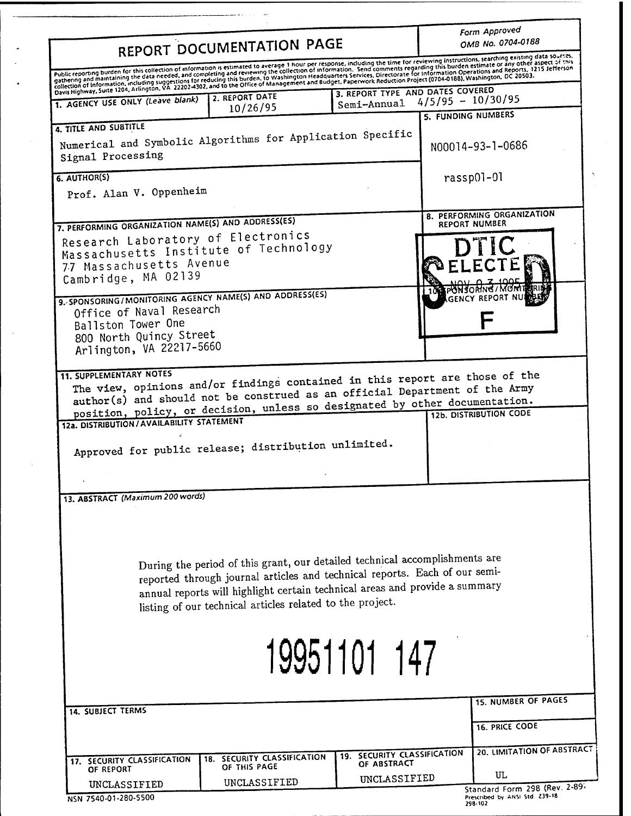| REPORT DOCUMENTATION PAGE<br>Public reporting burden for this collection of information is estimated to average 1 hour per response, including the time for reviewing instructions, searching existing data sources.<br>Public reporting purdent for this concernant information is existence to exclude a comparison that the formation. Send comments regarding this burden estimate or any other aspect of this pure weak and comments regarding th<br>gathering and maintaining the data needed, and completing and reviewing the conection of mormation. Send comments regarding this burden estimate or any other aspect of this<br>collection of information, including suggestions<br>3. REPORT TYPE AND DATES COVERED<br>2. REPORT DATE<br>$4/5/95 - 10/30/95$<br>1. AGENCY USE ONLY (Leave blank)<br>Semi-Annual<br>10/26/95<br>5. FUNDING NUMBERS<br>4. TITLE AND SUBTITLE<br>Numerical and Symbolic Algorithms for Application Specific<br>N00014-93-1-0686<br>rassp01-01<br>Prof. Alan V. Oppenheim<br>8. PERFORMING ORGANIZATION<br>7. PERFORMING ORGANIZATION NAME(S) AND ADDRESS(ES)<br><b>REPORT NUMBER</b><br>Research Laboratory of Electronics<br><b>DTIC</b><br>Massachusetts Institute of Technology<br>77 Massachusetts Avenue<br>Cambridge, MA 02139<br>9. SPONSORING / MONITORING AGENCY NAME(S) AND ADDRESS(ES)<br>Office of Naval Research<br>Ballston Tower One<br>800 North Quincy Street<br>Arlington, VA 22217-5660<br><b>11. SUPPLEMENTARY NOTES</b><br>The view, opinions and/or findings contained in this report are those of the<br>author(s) and should not be construed as an official Department of the Army<br>position, policy, or decision, unless so designated by other documentation.<br>12a. DISTRIBUTION / AVAILABILITY STATEMENT<br>Approved for public release; distribution unlimited.<br>13. ABSTRACT (Maximum 200 words)<br>During the period of this grant, our detailed technical accomplishments are<br>reported through journal articles and technical reports. Each of our semi-<br>annual reports will highlight certain technical areas and provide a summary<br>listing of our technical articles related to the project.<br>19951101 147<br><b>15. NUMBER OF PAGES</b><br><b>14. SUBJECT TERMS</b><br>16. PRICE CODE<br>19. SECURITY CLASSIFICATION<br>18. SECURITY CLASSIFICATION<br>17. SECURITY CLASSIFICATION<br>OF ABSTRACT<br>OF THIS PAGE<br>OF REPORT<br>UL<br>UNCLASSIFIED |                   |              | Form Approved<br>OMB No. 0704-0188 |
|--------------------------------------------------------------------------------------------------------------------------------------------------------------------------------------------------------------------------------------------------------------------------------------------------------------------------------------------------------------------------------------------------------------------------------------------------------------------------------------------------------------------------------------------------------------------------------------------------------------------------------------------------------------------------------------------------------------------------------------------------------------------------------------------------------------------------------------------------------------------------------------------------------------------------------------------------------------------------------------------------------------------------------------------------------------------------------------------------------------------------------------------------------------------------------------------------------------------------------------------------------------------------------------------------------------------------------------------------------------------------------------------------------------------------------------------------------------------------------------------------------------------------------------------------------------------------------------------------------------------------------------------------------------------------------------------------------------------------------------------------------------------------------------------------------------------------------------------------------------------------------------------------------------------------------------------------------------------------------------------------------------------------------------------------------------------------------------------------------------------------------------------------------------------------------------------------------------------------------------------------------------------------------------------------------------------------------------------------------------------------------------------------------------------------------------------------|-------------------|--------------|------------------------------------|
|                                                                                                                                                                                                                                                                                                                                                                                                                                                                                                                                                                                                                                                                                                                                                                                                                                                                                                                                                                                                                                                                                                                                                                                                                                                                                                                                                                                                                                                                                                                                                                                                                                                                                                                                                                                                                                                                                                                                                                                                                                                                                                                                                                                                                                                                                                                                                                                                                                                  |                   |              |                                    |
|                                                                                                                                                                                                                                                                                                                                                                                                                                                                                                                                                                                                                                                                                                                                                                                                                                                                                                                                                                                                                                                                                                                                                                                                                                                                                                                                                                                                                                                                                                                                                                                                                                                                                                                                                                                                                                                                                                                                                                                                                                                                                                                                                                                                                                                                                                                                                                                                                                                  |                   |              |                                    |
|                                                                                                                                                                                                                                                                                                                                                                                                                                                                                                                                                                                                                                                                                                                                                                                                                                                                                                                                                                                                                                                                                                                                                                                                                                                                                                                                                                                                                                                                                                                                                                                                                                                                                                                                                                                                                                                                                                                                                                                                                                                                                                                                                                                                                                                                                                                                                                                                                                                  |                   |              |                                    |
|                                                                                                                                                                                                                                                                                                                                                                                                                                                                                                                                                                                                                                                                                                                                                                                                                                                                                                                                                                                                                                                                                                                                                                                                                                                                                                                                                                                                                                                                                                                                                                                                                                                                                                                                                                                                                                                                                                                                                                                                                                                                                                                                                                                                                                                                                                                                                                                                                                                  |                   |              |                                    |
|                                                                                                                                                                                                                                                                                                                                                                                                                                                                                                                                                                                                                                                                                                                                                                                                                                                                                                                                                                                                                                                                                                                                                                                                                                                                                                                                                                                                                                                                                                                                                                                                                                                                                                                                                                                                                                                                                                                                                                                                                                                                                                                                                                                                                                                                                                                                                                                                                                                  |                   |              |                                    |
|                                                                                                                                                                                                                                                                                                                                                                                                                                                                                                                                                                                                                                                                                                                                                                                                                                                                                                                                                                                                                                                                                                                                                                                                                                                                                                                                                                                                                                                                                                                                                                                                                                                                                                                                                                                                                                                                                                                                                                                                                                                                                                                                                                                                                                                                                                                                                                                                                                                  | Signal Processing |              |                                    |
|                                                                                                                                                                                                                                                                                                                                                                                                                                                                                                                                                                                                                                                                                                                                                                                                                                                                                                                                                                                                                                                                                                                                                                                                                                                                                                                                                                                                                                                                                                                                                                                                                                                                                                                                                                                                                                                                                                                                                                                                                                                                                                                                                                                                                                                                                                                                                                                                                                                  | 6. AUTHOR(S)      |              |                                    |
|                                                                                                                                                                                                                                                                                                                                                                                                                                                                                                                                                                                                                                                                                                                                                                                                                                                                                                                                                                                                                                                                                                                                                                                                                                                                                                                                                                                                                                                                                                                                                                                                                                                                                                                                                                                                                                                                                                                                                                                                                                                                                                                                                                                                                                                                                                                                                                                                                                                  |                   |              |                                    |
|                                                                                                                                                                                                                                                                                                                                                                                                                                                                                                                                                                                                                                                                                                                                                                                                                                                                                                                                                                                                                                                                                                                                                                                                                                                                                                                                                                                                                                                                                                                                                                                                                                                                                                                                                                                                                                                                                                                                                                                                                                                                                                                                                                                                                                                                                                                                                                                                                                                  |                   |              |                                    |
|                                                                                                                                                                                                                                                                                                                                                                                                                                                                                                                                                                                                                                                                                                                                                                                                                                                                                                                                                                                                                                                                                                                                                                                                                                                                                                                                                                                                                                                                                                                                                                                                                                                                                                                                                                                                                                                                                                                                                                                                                                                                                                                                                                                                                                                                                                                                                                                                                                                  |                   |              |                                    |
|                                                                                                                                                                                                                                                                                                                                                                                                                                                                                                                                                                                                                                                                                                                                                                                                                                                                                                                                                                                                                                                                                                                                                                                                                                                                                                                                                                                                                                                                                                                                                                                                                                                                                                                                                                                                                                                                                                                                                                                                                                                                                                                                                                                                                                                                                                                                                                                                                                                  |                   |              |                                    |
|                                                                                                                                                                                                                                                                                                                                                                                                                                                                                                                                                                                                                                                                                                                                                                                                                                                                                                                                                                                                                                                                                                                                                                                                                                                                                                                                                                                                                                                                                                                                                                                                                                                                                                                                                                                                                                                                                                                                                                                                                                                                                                                                                                                                                                                                                                                                                                                                                                                  |                   |              |                                    |
|                                                                                                                                                                                                                                                                                                                                                                                                                                                                                                                                                                                                                                                                                                                                                                                                                                                                                                                                                                                                                                                                                                                                                                                                                                                                                                                                                                                                                                                                                                                                                                                                                                                                                                                                                                                                                                                                                                                                                                                                                                                                                                                                                                                                                                                                                                                                                                                                                                                  |                   |              |                                    |
|                                                                                                                                                                                                                                                                                                                                                                                                                                                                                                                                                                                                                                                                                                                                                                                                                                                                                                                                                                                                                                                                                                                                                                                                                                                                                                                                                                                                                                                                                                                                                                                                                                                                                                                                                                                                                                                                                                                                                                                                                                                                                                                                                                                                                                                                                                                                                                                                                                                  |                   |              |                                    |
|                                                                                                                                                                                                                                                                                                                                                                                                                                                                                                                                                                                                                                                                                                                                                                                                                                                                                                                                                                                                                                                                                                                                                                                                                                                                                                                                                                                                                                                                                                                                                                                                                                                                                                                                                                                                                                                                                                                                                                                                                                                                                                                                                                                                                                                                                                                                                                                                                                                  |                   |              |                                    |
|                                                                                                                                                                                                                                                                                                                                                                                                                                                                                                                                                                                                                                                                                                                                                                                                                                                                                                                                                                                                                                                                                                                                                                                                                                                                                                                                                                                                                                                                                                                                                                                                                                                                                                                                                                                                                                                                                                                                                                                                                                                                                                                                                                                                                                                                                                                                                                                                                                                  |                   |              |                                    |
|                                                                                                                                                                                                                                                                                                                                                                                                                                                                                                                                                                                                                                                                                                                                                                                                                                                                                                                                                                                                                                                                                                                                                                                                                                                                                                                                                                                                                                                                                                                                                                                                                                                                                                                                                                                                                                                                                                                                                                                                                                                                                                                                                                                                                                                                                                                                                                                                                                                  |                   |              |                                    |
|                                                                                                                                                                                                                                                                                                                                                                                                                                                                                                                                                                                                                                                                                                                                                                                                                                                                                                                                                                                                                                                                                                                                                                                                                                                                                                                                                                                                                                                                                                                                                                                                                                                                                                                                                                                                                                                                                                                                                                                                                                                                                                                                                                                                                                                                                                                                                                                                                                                  |                   |              |                                    |
|                                                                                                                                                                                                                                                                                                                                                                                                                                                                                                                                                                                                                                                                                                                                                                                                                                                                                                                                                                                                                                                                                                                                                                                                                                                                                                                                                                                                                                                                                                                                                                                                                                                                                                                                                                                                                                                                                                                                                                                                                                                                                                                                                                                                                                                                                                                                                                                                                                                  |                   |              |                                    |
|                                                                                                                                                                                                                                                                                                                                                                                                                                                                                                                                                                                                                                                                                                                                                                                                                                                                                                                                                                                                                                                                                                                                                                                                                                                                                                                                                                                                                                                                                                                                                                                                                                                                                                                                                                                                                                                                                                                                                                                                                                                                                                                                                                                                                                                                                                                                                                                                                                                  |                   |              |                                    |
|                                                                                                                                                                                                                                                                                                                                                                                                                                                                                                                                                                                                                                                                                                                                                                                                                                                                                                                                                                                                                                                                                                                                                                                                                                                                                                                                                                                                                                                                                                                                                                                                                                                                                                                                                                                                                                                                                                                                                                                                                                                                                                                                                                                                                                                                                                                                                                                                                                                  |                   |              |                                    |
|                                                                                                                                                                                                                                                                                                                                                                                                                                                                                                                                                                                                                                                                                                                                                                                                                                                                                                                                                                                                                                                                                                                                                                                                                                                                                                                                                                                                                                                                                                                                                                                                                                                                                                                                                                                                                                                                                                                                                                                                                                                                                                                                                                                                                                                                                                                                                                                                                                                  |                   |              |                                    |
|                                                                                                                                                                                                                                                                                                                                                                                                                                                                                                                                                                                                                                                                                                                                                                                                                                                                                                                                                                                                                                                                                                                                                                                                                                                                                                                                                                                                                                                                                                                                                                                                                                                                                                                                                                                                                                                                                                                                                                                                                                                                                                                                                                                                                                                                                                                                                                                                                                                  |                   |              |                                    |
|                                                                                                                                                                                                                                                                                                                                                                                                                                                                                                                                                                                                                                                                                                                                                                                                                                                                                                                                                                                                                                                                                                                                                                                                                                                                                                                                                                                                                                                                                                                                                                                                                                                                                                                                                                                                                                                                                                                                                                                                                                                                                                                                                                                                                                                                                                                                                                                                                                                  |                   |              |                                    |
|                                                                                                                                                                                                                                                                                                                                                                                                                                                                                                                                                                                                                                                                                                                                                                                                                                                                                                                                                                                                                                                                                                                                                                                                                                                                                                                                                                                                                                                                                                                                                                                                                                                                                                                                                                                                                                                                                                                                                                                                                                                                                                                                                                                                                                                                                                                                                                                                                                                  |                   |              | 20. LIMITATION OF ABSTRACT         |
|                                                                                                                                                                                                                                                                                                                                                                                                                                                                                                                                                                                                                                                                                                                                                                                                                                                                                                                                                                                                                                                                                                                                                                                                                                                                                                                                                                                                                                                                                                                                                                                                                                                                                                                                                                                                                                                                                                                                                                                                                                                                                                                                                                                                                                                                                                                                                                                                                                                  |                   |              |                                    |
|                                                                                                                                                                                                                                                                                                                                                                                                                                                                                                                                                                                                                                                                                                                                                                                                                                                                                                                                                                                                                                                                                                                                                                                                                                                                                                                                                                                                                                                                                                                                                                                                                                                                                                                                                                                                                                                                                                                                                                                                                                                                                                                                                                                                                                                                                                                                                                                                                                                  | UNCLASSIFIED      | UNCLASSIFIED | Standard Form 298 (Rev. 2-89)      |

L,

 $\overline{a}$ 

÷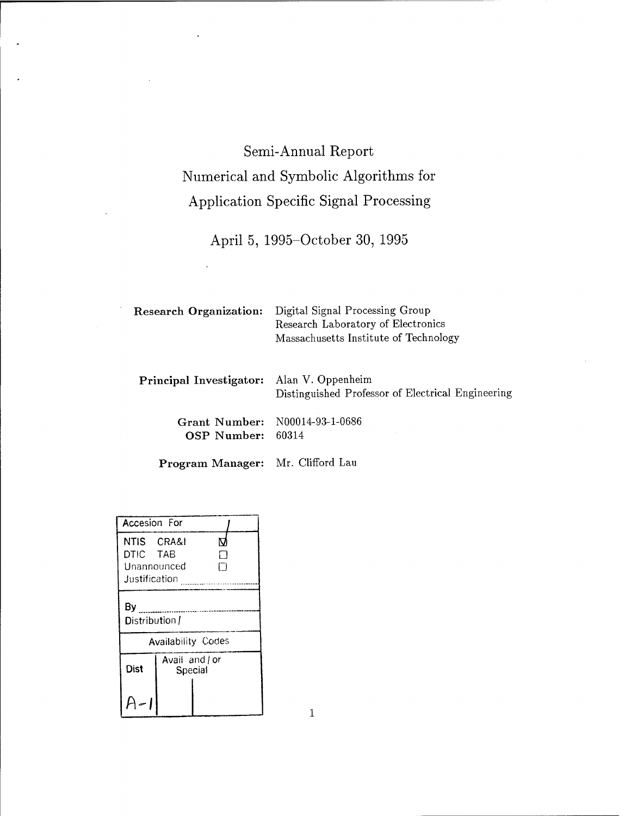# Semi-Annual Report Numerical and Symbolic Algorithms for Application Specific Signal Processing

April 5, 1995-October 30, 1995

| <b>Research Organization:</b>             | Digital Signal Processing Group<br>Research Laboratory of Electronics<br>Massachusetts Institute of Technology |  |  |
|-------------------------------------------|----------------------------------------------------------------------------------------------------------------|--|--|
| Principal Investigator: Alan V. Oppenheim | Distinguished Professor of Electrical Engineering                                                              |  |  |
| Grant Number:<br><b>OSP Number:</b>       | N00014-93-1-0686<br>60314                                                                                      |  |  |

**Program Manager: Mr.** Clifford **Lau**

| Accesion For                          |                         |                           |  |  |  |
|---------------------------------------|-------------------------|---------------------------|--|--|--|
| NTIS CRA&I<br>DTIC TAB<br>Unannounced |                         | Ю<br>٦                    |  |  |  |
| Justification                         |                         |                           |  |  |  |
| By<br>Distribution /                  |                         |                           |  |  |  |
|                                       |                         | <b>Availability Codes</b> |  |  |  |
| <b>Dist</b>                           | Avail and or<br>Special |                           |  |  |  |
|                                       |                         |                           |  |  |  |

 $\mathbf 1$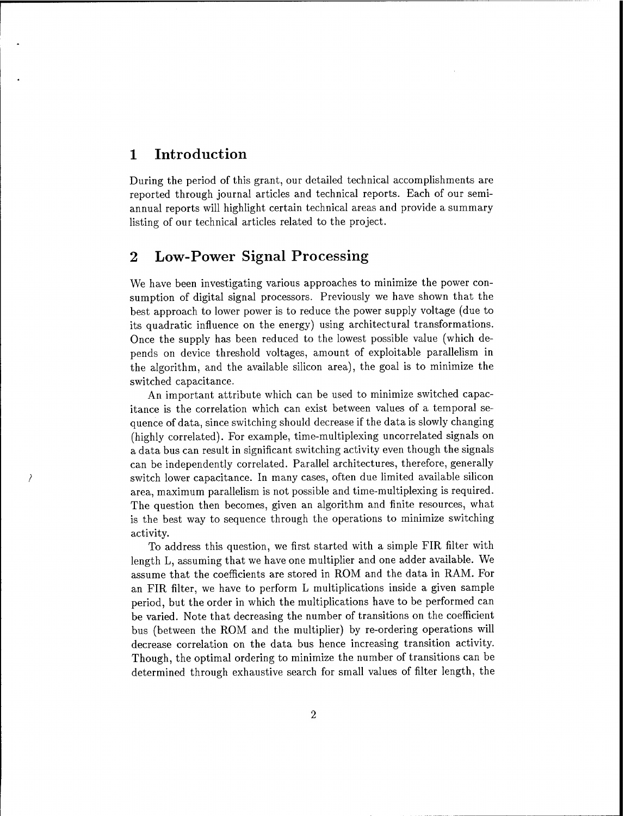# <sup>1</sup> Introduction

 $\overline{\phantom{a}}$ 

During the period of this grant, our detailed technical accomplishments are reported through journal articles and technical reports. Each of our semiannual reports will highlight certain technical areas and provide a summary listing of our technical articles related to the project.

# 2 Low-Power Signal Processing

We have been investigating various approaches to minimize the power consumption of digital signal processors. Previously we have shown that the best approach to lower power is to reduce the power supply voltage (due to its quadratic influence on the energy) using architectural transformations. Once the supply has been reduced to the lowest possible value (which depends on device threshold voltages, amount of exploitable parallelism in the algorithm, and the available silicon area), the goal is to minimize the switched capacitance.

An important attribute which can be used to minimize switched capacitance is the correlation which can exist between values of a temporal sequence of data, since switching should decrease if the data is slowly changing (highly correlated). For example, time-multiplexing uncorrelated signals on a data bus can result in significant switching activity even though the signals can be independently correlated. Parallel architectures, therefore, generally switch lower capacitance. In many cases, often due limited available silicon area, maximum parallelism is not possible and time-multiplexing is required. The question then becomes, given an algorithm and finite resources, what is the best way to sequence through the operations to minimize switching activity.

To address this question, we first started with a simple FIR filter with length L, assuming that we have one multiplier and one adder available. We assume that the coefficients are stored in ROM and the data in RAM. For an FIR filter, we have to perform L multiplications inside a given sample period, but the order in which the multiplications have to be performed can be varied. Note that decreasing the number of transitions on the coefficient bus (between the ROM and the multiplier) by re-ordering operations will decrease correlation on the data bus hence increasing transition activity. Though, the optimal ordering to minimize the number of transitions can be determined through exhaustive search for small values of filter length, the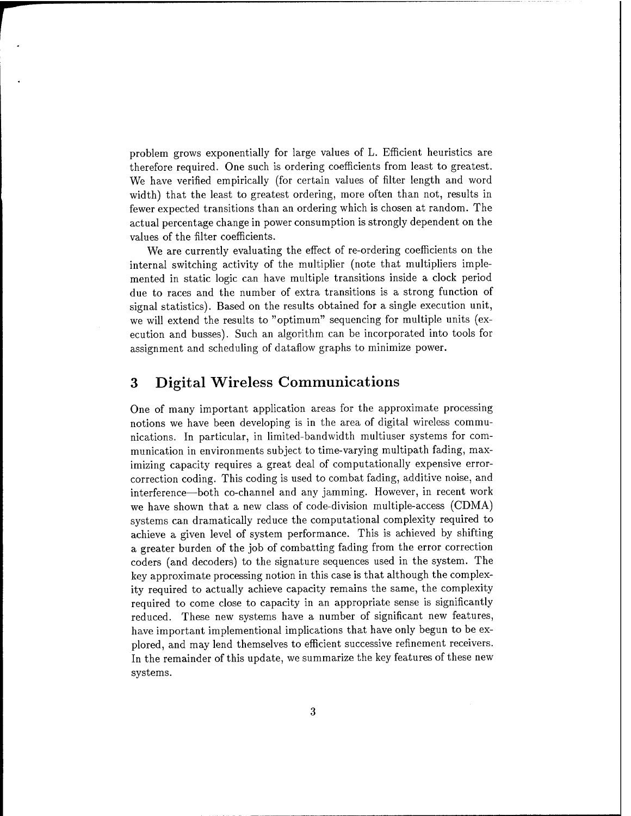problem grows exponentially for large values of L. Efficient heuristics are therefore required. One such is ordering coefficients from least to greatest. We have verified empirically (for certain values of filter length and word width) that the least to greatest ordering, more often than not, results in fewer expected transitions than an ordering which is chosen at random. The actual percentage change in power consumption is strongly dependent on the values of the filter coefficients.

We are currently evaluating the effect of re-ordering coefficients on the internal switching activity of the multiplier (note that multipliers implemented in static logic can have multiple transitions inside a clock period due to races and the number of extra transitions is a strong function of signal statistics). Based on the results obtained for a single execution unit, we will extend the results to "optimum" sequencing for multiple units (execution and busses). Such an algorithm can be incorporated into tools for assignment and scheduling of dataflow graphs to minimize power.

# 3 Digital Wireless Communications

One of many important application areas for the approximate processing notions we have been developing is in the area of digital wireless communications. In particular, in limited-bandwidth multiuser systems for communication in environments subject to time-varying multipath fading, maximizing capacity requires a great deal of computationally expensive errorcorrection coding. This coding is used to combat fading, additive noise, and interference—both co-channel and any jamming. However, in recent work we have shown that a new class of code-division multiple-access (CDMA) systems can dramatically reduce the computational complexity required to achieve a given level of system performance. This is achieved by shifting a greater burden of the job of combatting fading from the error correction coders (and decoders) to the signature sequences used in the system. The key approximate processing notion in this case is that although the complexity required to actually achieve capacity remains the same, the complexity required to come close to capacity in an appropriate sense is significantly reduced. These new systems have a number of significant new features, have important implementional implications that have only begun to be explored, and may lend themselves to efficient successive refinement receivers. In the remainder of this update, we summarize the key features of these new systems.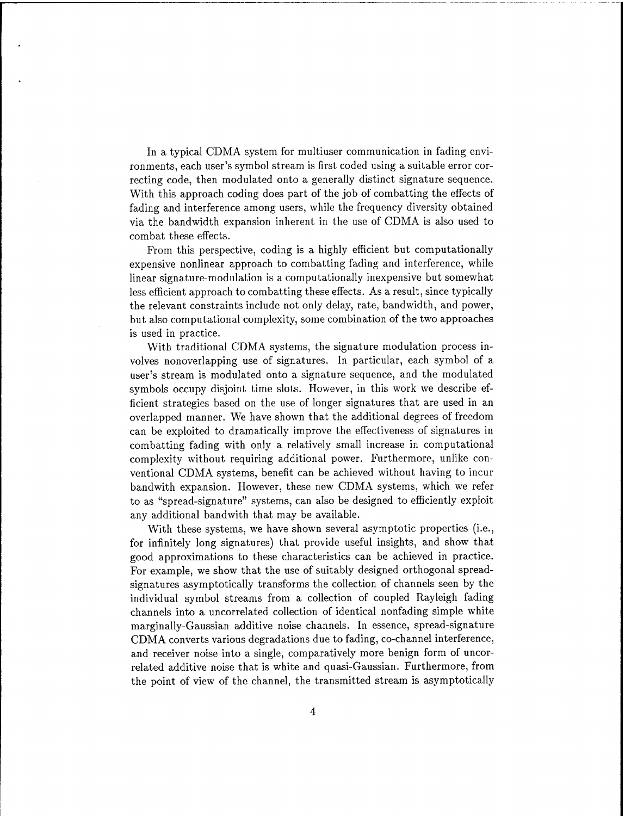In a typical CDMA system for multiuser communication in fading environments, each user's symbol stream is first coded using a suitable error correcting code, then modulated onto a generally distinct signature sequence. With this approach coding does part of the job of combatting the effects of fading and interference among users, while the frequency diversity obtained via the bandwidth expansion inherent in the use of CDMA is also used to combat these effects.

From this perspective, coding is a highly efficient but computationally expensive nonlinear approach to combatting fading and interference, while linear signature-modulation is a computationally inexpensive but somewhat less efficient approach to combatting these effects. As a result, since typically the relevant constraints include not only delay, rate, bandwidth, and power, but also computational complexity, some combination of the two approaches is used in practice.

With traditional CDMA systems, the signature modulation process involves nonoverlapping use of signatures. In particular, each symbol of a user's stream is modulated onto a signature sequence, and the modulated symbols occupy disjoint time slots. However, in this work we describe efficient strategies based on the use of longer signatures that are used in an overlapped manner. We have shown that the additional degrees of freedom can be exploited to dramatically improve the effectiveness of signatures in combatting fading with only a relatively small increase in computational complexity without requiring additional power. Furthermore, unlike conventional CDMA systems, benefit can be achieved without having to incur bandwith expansion. However, these new CDMA systems, which we refer to as "spread-signature" systems, can also be designed to efficiently exploit any additional bandwith that may be available.

With these systems, we have shown several asymptotic properties (i.e., for infinitely long signatures) that provide useful insights, and show that good approximations to these characteristics can be achieved in practice. For example, we show that the use of suitably designed orthogonal spreadsignatures asymptotically transforms the collection of channels seen by the individual symbol streams from a collection of coupled Rayleigh fading channels into a uncorrelated collection of identical nonfading simple white marginally-Gaussian additive noise channels. In essence, spread-signature CDMA converts various degradations due to fading, co-channel interference, and receiver noise into a single, comparatively more benign form of uncorrelated additive noise that is white and quasi-Gaussian. Furthermore, from the point of view of the channel, the transmitted stream is asymptotically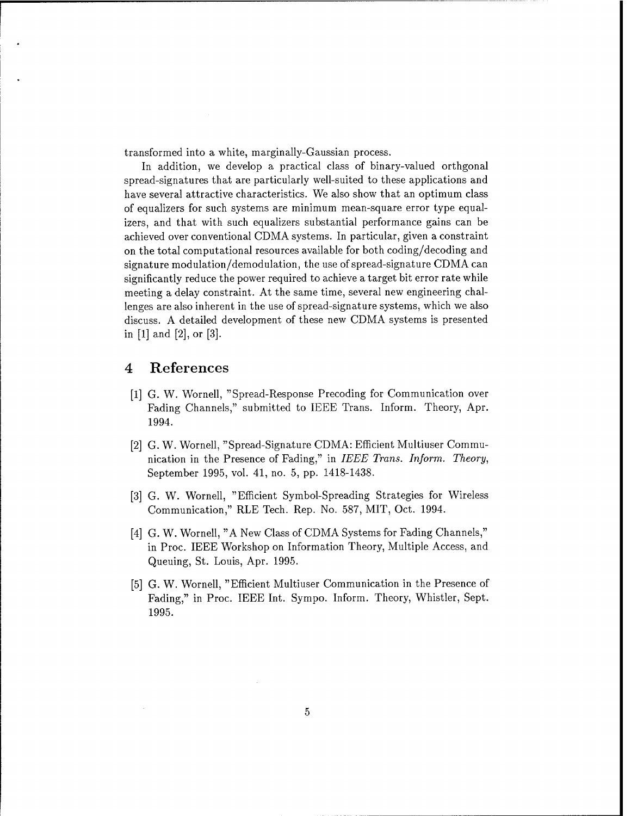transformed into a white, marginally-Gaussian process.

In addition, we develop a practical class of binary-valued orthgonal spread-signatures that are particularly well-suited to these applications and have several attractive characteristics. We also show that an optimum class of equalizers for such systems are minimum mean-square error type equalizers, and that with such equalizers substantial performance gains can be achieved over conventional CDMA systems. In particular, given a constraint on the total computational resources available for both coding/decoding and signature modulation/demodulation, the use of spread-signature CDMA can significantly reduce the power required to achieve a target bit error rate while meeting a delay constraint. At the same time, several new engineering challenges are also inherent in the use of spread-signature systems, which we also discuss. A detailed development of these new CDMA systems is presented in [1] and [2], or [3].

## 4 References

- [1] G. W. Wornell, "Spread-Response Precoding for Communication over Fading Channels," submitted to IEEE Trans. Inform. Theory, Apr. 1994.
- [2] G. W. Wornell, "Spread-Signature CDMA: Efficient Multiuser Communication in the Presence of Fading," in *IEEE Trans. Inform. Theory,* September 1995, vol. 41, no. 5, pp. 1418-1438.
- [3] G. W. Wornell, "Efficient Symbol-Spreading Strategies for Wireless Communication," RLE Tech. Rep. No. 587, MIT, Oct. 1994.
- [4] G. W. Wornell, "A New Class of CDMA Systems for Fading Channels," in Proc. IEEE Workshop on Information Theory, Multiple Access, and Queuing, St. Louis, Apr. 1995.
- [5] G. W. Wornell, "Efficient Multiuser Communication in the Presence of Fading," in Proc. IEEE Int. Sympo. Inform. Theory, Whistler, Sept. 1995.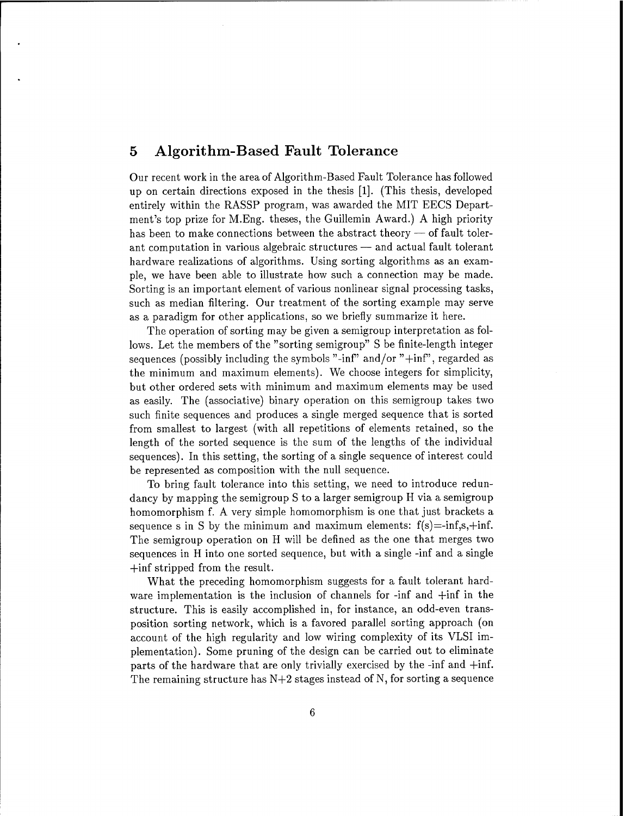## 5 Algorithm-Based Fault Tolerance

Our recent work in the area of Algorithm-Based Fault Tolerance has followed up on certain directions exposed in the thesis [1]. (This thesis, developed entirely within the RASSP program, was awarded the MIT EECS Department's top prize for M.Eng. theses, the Guillemin Award.) A high priority has been to make connections between the abstract theory — of fault tolerant computation in various algebraic structures — and actual fault tolerant hardware realizations of algorithms. Using sorting algorithms as an example, we have been able to illustrate how such a connection may be made. Sorting is an important element of various nonlinear signal processing tasks, such as median filtering. Our treatment of the sorting example may serve as a paradigm for other applications, so we briefly summarize it here.

The operation of sorting may be given a semigroup interpretation as follows. Let the members of the "sorting semigroup" S be finite-length integer sequences (possibly including the symbols "-inf" and/or " $+$ inf", regarded as the minimum and maximum elements). We choose integers for simplicity, but other ordered sets with minimum and maximum elements may be used as easily. The (associative) binary operation on this semigroup takes two such finite sequences and produces a single merged sequence that is sorted from smallest to largest (with all repetitions of elements retained, so the length of the sorted sequence is the sum of the lengths of the individual sequences). In this setting, the sorting of a single sequence of interest could be represented as composition with the null sequence.

To bring fault tolerance into this setting, we need to introduce redundancy by mapping the semigroup S to a larger semigroup H via a semigroup homomorphism f. A very simple homomorphism is one that just brackets a sequence s in S by the minimum and maximum elements:  $f(s) = -\inf_s s, +\inf_s$ . The semigroup operation on H will be defined as the one that merges two sequences in H into one sorted sequence, but with a single -inf and a single +inf stripped from the result.

What the preceding homomorphism suggests for a fault tolerant hardware implementation is the inclusion of channels for -inf and +inf in the structure. This is easily accomplished in, for instance, an odd-even transposition sorting network, which is a favored parallel sorting approach (on account of the high regularity and low wiring complexity of its VLSI implementation). Some pruning of the design can be carried out to eliminate parts of the hardware that are only trivially exercised by the -inf and +inf. The remaining structure has  $N+2$  stages instead of N, for sorting a sequence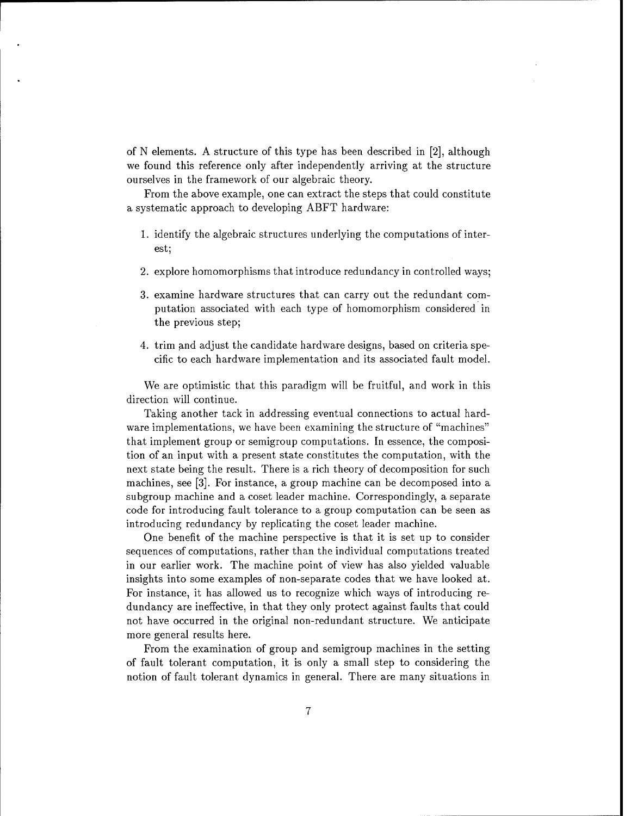of N elements. A structure of this type has been described in [2], although we found this reference only after independently arriving at the structure ourselves in the framework of our algebraic theory.

From the above example, one can extract the steps that could constitute a systematic approach to developing ABFT hardware:

- 1. identify the algebraic structures underlying the computations of interest;
- 2. explore homomorphisms that introduce redundancy in controlled ways;
- 3. examine hardware structures that can carry out the redundant computation associated with each type of homomorphism considered in the previous step;
- 4. trim and adjust the candidate hardware designs, based on criteria specific to each hardware implementation and its associated fault model.

We are optimistic that this paradigm will be fruitful, and work in this direction will continue.

Taking another tack in addressing eventual connections to actual hardware implementations, we have been examining the structure of "machines" that implement group or semigroup computations. In essence, the composition of an input with a present state constitutes the computation, with the next state being the result. There is a rich theory of decomposition for such machines, see [3]. For instance, a group machine can be decomposed into a subgroup machine and a coset leader machine. Correspondingly, a separate code for introducing fault tolerance to a group computation can be seen as introducing redundancy by replicating the coset leader machine.

One benefit of the machine perspective is that it is set up to consider sequences of computations, rather than the individual computations treated in our earlier work. The machine point of view has also yielded valuable insights into some examples of non-separate codes that we have looked at. For instance, it has allowed us to recognize which ways of introducing redundancy are ineffective, in that they only protect against faults that could not have occurred in the original non-redundant structure. We anticipate more general results here.

From the examination of group and semigroup machines in the setting of fault tolerant computation, it is only a small step to considering the notion of fault tolerant dynamics in general. There are many situations in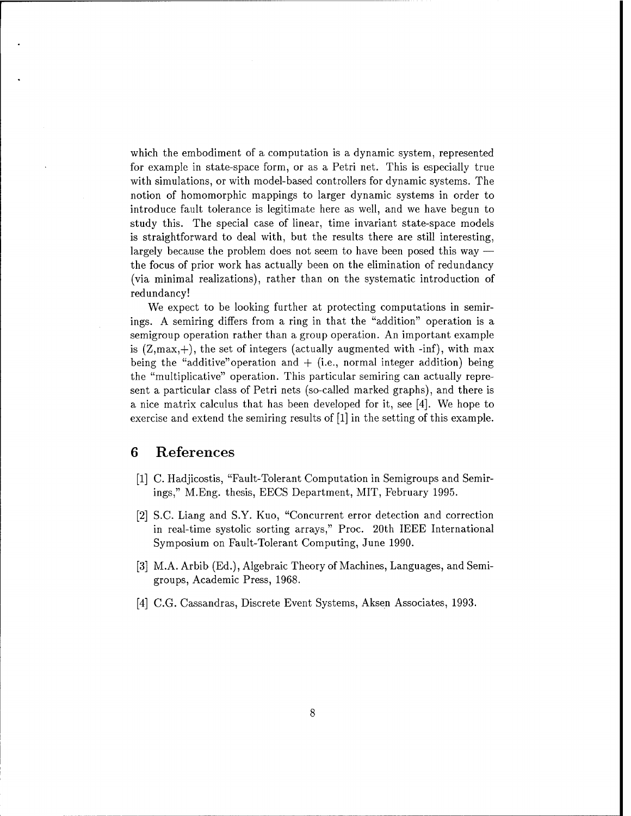which the embodiment of a computation is a dynamic system, represented for example in state-space form, or as a Petri net. This is especially true with simulations, or with model-based controllers for dynamic systems. The notion of homomorphic mappings to larger dynamic systems in order to introduce fault tolerance is legitimate here as well, and we have begun to study this. The special case of linear, time invariant state-space models is straightforward to deal with, but the results there are still interesting, largely because the problem does not seem to have been posed this way the focus of prior work has actually been on the elimination of redundancy (via minimal realizations), rather than on the systematic introduction of redundancy!

We expect to be looking further at protecting computations in semirings. A semiring differs from a ring in that the "addition" operation is a semigroup operation rather than a group operation. An important example is  $(Z, max, +)$ , the set of integers (actually augmented with -inf), with max being the "additive" operation and  $+$  (i.e., normal integer addition) being the "multiplicative" operation. This particular semiring can actually represent a particular class of Petri nets (so-called marked graphs), and there is a nice matrix calculus that has been developed for it, see [4]. We hope to exercise and extend the semiring results of [1] in the setting of this example.

## 6 References

- [1] C. Hadjicostis, "Fault-Tolerant Computation in Semigroups and Semirings," M.Eng. thesis, EECS Department, MIT, February 1995.
- [2] S.C. Liang and S.Y. Kuo, "Concurrent error detection and correction in real-time systolic sorting arrays," Proc. 20th IEEE International Symposium on Fault-Tolerant Computing, June 1990.
- [3] M.A. Arbib (Ed.), Algebraic Theory of Machines, Languages, and Semigroups, Academic Press, 1968.
- [4] C.G. Cassandras, Discrete Event Systems, Aksen Associates, 1993.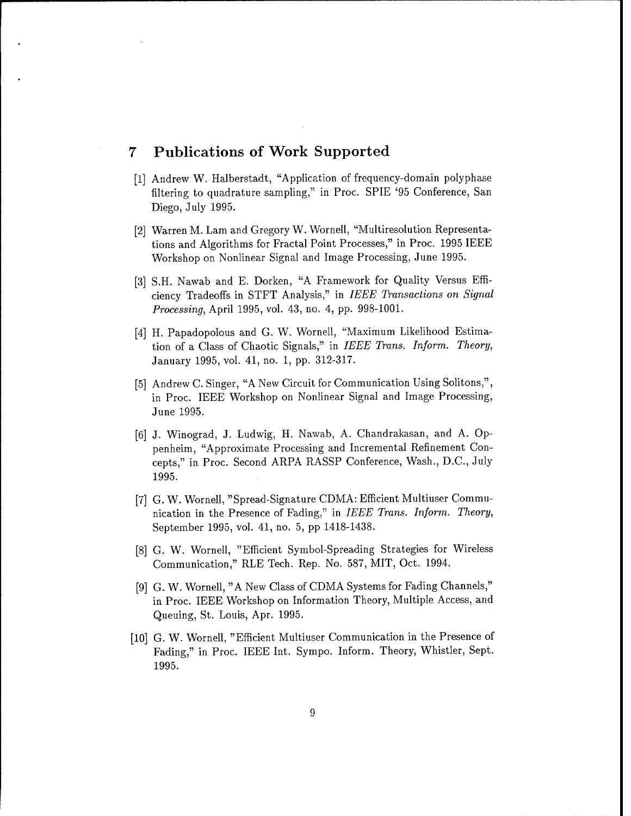# 7 Publications of Work Supported

- [1] Andrew W. Halberstadt, "Application of frequency-domain polyphase filtering to quadrature sampling," in Proc. SPIE '95 Conference, San Diego, July 1995.
- [2] Warren M. Lam and Gregory W. Wornell, "Multiresolution Representations and Algorithms for Fractal Point Processes," in Proc. 1995 IEEE Workshop on Nonlinear Signal and Image Processing, June 1995.
- [3] S.H. Nawab and E. Dorken, "A Framework for Quality Versus Efficiency Tradeoffs in STFT Analysis," in *IEEE Transactions on Signal Processing,* April 1995, vol. 43, no. 4, pp. 998-1001.
- [4] H. Papadopolous and G. W. Wornell, "Maximum Likelihood Estimation of a Class of Chaotic Signals," in *IEEE Trans. Inform. Theory,* January 1995, vol. 41, no. 1, pp. 312-317.
- [5] Andrew C. Singer, "A New Circuit for Communication Using Solitons,", in Proc. IEEE Workshop on Nonlinear Signal and Image Processing, June 1995.
- [6] J. Winograd, J. Ludwig, H. Nawab, A. Chandrakasan, and A. Oppenheim, "Approximate Processing and Incremental Refinement Concepts," in Proc. Second ARPA RASSP Conference, Wash., D.C., July 1995.
- [7] G. W. Wornell, "Spread-Signature CDMA: Efficient Multiuser Communication in the Presence of Fading," in *IEEE Trans. Inform. Theory,* September 1995, vol. 41, no. 5, pp 1418-1438.
- [8] G. W. Wornell, "Efficient Symbol-Spreading Strategies for Wireless Communication," RLE Tech. Rep. No. 587, MIT, Oct. 1994.
- [9] G. W. Wornell, "A New Class of CDMA Systems for Fading Channels," in Proc. IEEE Workshop on Information Theory, Multiple Access, and Queuing, St. Louis, Apr. 1995.
- [10] G. W. Wornell, "Efficient Multiuser Communication in the Presence of Fading," in Proc. IEEE Int. Sympo. Inform. Theory, Whistler, Sept. 1995.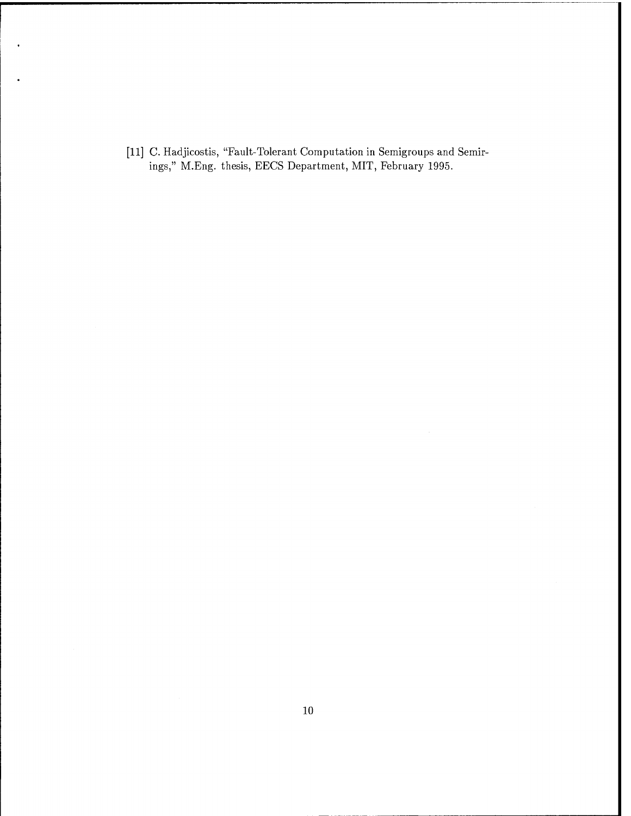[11] C. Hadjicostis, "Fault-Tolerant Computation in Semigroups and Semirings," M.Eng. thesis, EECS Department, MIT, February 1995.